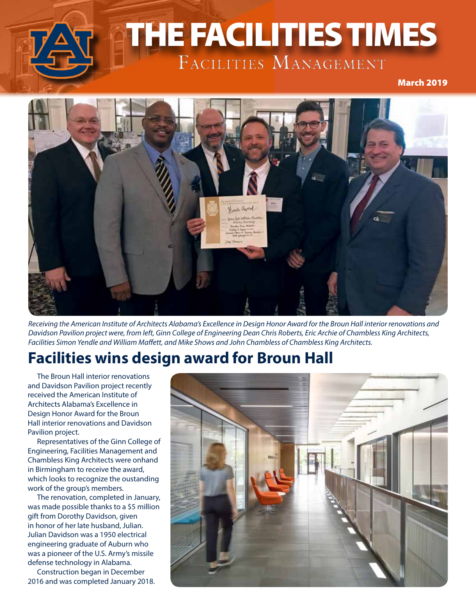

# THE FACILITIES TIMES THE FACILITIES TIMES

**December 2019** 



*Receiving the American Institute of Architects Alabama's Excellence in Design Honor Award for the Broun Hall interior renovations and Davidson Pavilion project were, from left, Ginn College of Engineering Dean Chris Roberts, Eric Archie of Chambless King Architects, Facilities Simon Yendle and William Maffett, and Mike Shows and John Chambless of Chambless King Architects.*

## **Facilities wins design award for Broun Hall**

The Broun Hall interior renovations and Davidson Pavilion project recently received the American Institute of Architects Alabama's Excellence in Design Honor Award for the Broun Hall interior renovations and Davidson Pavilion project.

Representatives of the Ginn College of Engineering, Facilities Management and Chambless King Architects were onhand in Birmingham to receive the award, which looks to recognize the oustanding work of the group's members.

The renovation, completed in January, was made possible thanks to a \$5 million gift from Dorothy Davidson, given in honor of her late husband, Julian. Julian Davidson was a 1950 electrical engineering graduate of Auburn who was a pioneer of the U.S. Army's missile defense technology in Alabama.

Construction began in December 2016 and was completed January 2018.

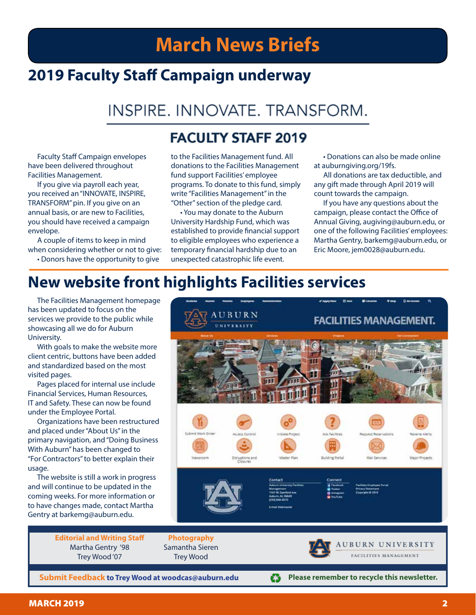## **March News Briefs**

## **2019 Faculty Staff Campaign underway**

## INSPIRE. INNOVATE. TRANSFORM.

#### **FACULTY STAFF 2019**

Faculty Staff Campaign envelopes have been delivered throughout Facilities Management.

If you give via payroll each year, you received an "INNOVATE, INSPIRE, TRANSFORM" pin. If you give on an annual basis, or are new to Facilities, you should have received a campaign envelope.

A couple of items to keep in mind when considering whether or not to give:

• Donors have the opportunity to give

to the Facilities Management fund. All donations to the Facilities Management fund support Facilities' employee programs. To donate to this fund, simply write "Facilities Management" in the "Other" section of the pledge card.

• You may donate to the Auburn University Hardship Fund, which was established to provide financial support to eligible employees who experience a temporary financial hardship due to an unexpected catastrophic life event.

• Donations can also be made online at auburngiving.org/19fs.

All donations are tax deductible, and any gift made through April 2019 will count towards the campaign.

If you have any questions about the campaign, please contact the Office of Annual Giving, augiving@auburn.edu, or one of the following Facilities' employees: Martha Gentry, barkemg@auburn.edu, or Eric Moore, jem0028@auburn.edu.

### **New website front highlights Facilities services**

The Facilities Management homepage has been updated to focus on the services we provide to the public while showcasing all we do for Auburn University.

With goals to make the website more client centric, buttons have been added and standardized based on the most visited pages.

Pages placed for internal use include Financial Services, Human Resources, IT and Safety. These can now be found under the Employee Portal.

Organizations have been restructured and placed under "About Us" in the primary navigation, and "Doing Business With Auburn" has been changed to "For Contractors" to better explain their usage.

The website is still a work in progress and will continue to be updated in the coming weeks. For more information or to have changes made, contact Martha Gentry at barkemg@auburn.edu.



£3

**Please remember to recycle this newsletter.**

**Editorial and Writing Staff** Martha Gentry '98 Trey Wood '07

**Submit Feedback to Trey Wood at woodcas@auburn.edu**

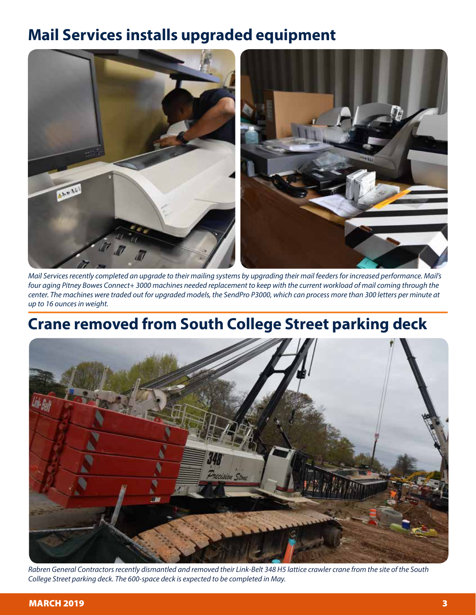## **Mail Services installs upgraded equipment**



*Mail Services recently completed an upgrade to their mailing systems by upgrading their mail feeders for increased performance. Mail's four aging Pitney Bowes Connect+ 3000 machines needed replacement to keep with the current workload of mail coming through the center. The machines were traded out for upgraded models, the SendPro P3000, which can process more than 300 letters per minute at up to 16 ounces in weight.* 

## **Crane removed from South College Street parking deck**

![](_page_2_Picture_4.jpeg)

*Rabren General Contractors recently dismantled and removed their Link-Belt 348 H5 lattice crawler crane from the site of the South College Street parking deck. The 600-space deck is expected to be completed in May.*